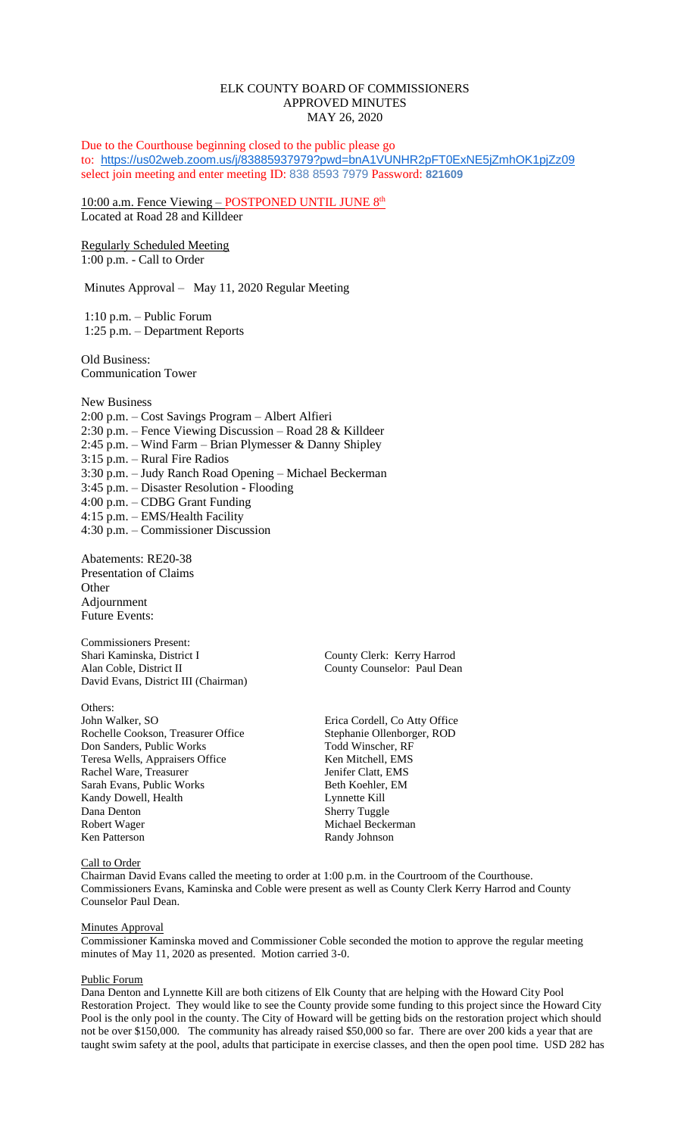# ELK COUNTY BOARD OF COMMISSIONERS APPROVED MINUTES MAY 26, 2020

Due to the Courthouse beginning closed to the public please go to: <https://us02web.zoom.us/j/83885937979?pwd=bnA1VUNHR2pFT0ExNE5jZmhOK1pjZz09> select join meeting and enter meeting ID: 838 8593 7979 Password: **821609**

10:00 a.m. Fence Viewing – POSTPONED UNTIL JUNE 8<sup>th</sup> Located at Road 28 and Killdeer

Regularly Scheduled Meeting 1:00 p.m. - Call to Order

Minutes Approval – May 11, 2020 Regular Meeting

1:10 p.m. – Public Forum 1:25 p.m. – Department Reports

Old Business: Communication Tower

New Business 2:00 p.m. – Cost Savings Program – Albert Alfieri 2:30 p.m. – Fence Viewing Discussion – Road 28 & Killdeer 2:45 p.m. – Wind Farm – Brian Plymesser & Danny Shipley 3:15 p.m. – Rural Fire Radios 3:30 p.m. – Judy Ranch Road Opening – Michael Beckerman 3:45 p.m. – Disaster Resolution - Flooding 4:00 p.m. – CDBG Grant Funding 4:15 p.m. – EMS/Health Facility 4:30 p.m. – Commissioner Discussion

Abatements: RE20-38 Presentation of Claims **Other** Adjournment Future Events:

Commissioners Present: Shari Kaminska, District I County Clerk: Kerry Harrod Alan Coble, District II County Counselor: Paul Dean David Evans, District III (Chairman)

# Others:

John Walker, SO Erica Cordell, Co Atty Office Rochelle Cookson, Treasurer Office Stephanie Ollenborger, ROD<br>
Don Sanders, Public Works Todd Winscher, RF Don Sanders, Public Works Todd Winscher, RF<br>
Teresa Wells, Appraisers Office Ken Mitchell. EMS Teresa Wells, Appraisers Office Rachel Ware, Treasurer and Menter Clatt, EMS<br>
Sarah Evans, Public Works<br>
Beth Koehler, EM Sarah Evans, Public Works Kandy Dowell, Health Lynnette Kill Dana Denton Sherry Tuggle Robert Wager Michael Beckerman Ken Patterson Randy Johnson

# Call to Order

Chairman David Evans called the meeting to order at 1:00 p.m. in the Courtroom of the Courthouse. Commissioners Evans, Kaminska and Coble were present as well as County Clerk Kerry Harrod and County Counselor Paul Dean.

## Minutes Approval

Commissioner Kaminska moved and Commissioner Coble seconded the motion to approve the regular meeting minutes of May 11, 2020 as presented. Motion carried 3-0.

### Public Forum

Dana Denton and Lynnette Kill are both citizens of Elk County that are helping with the Howard City Pool Restoration Project. They would like to see the County provide some funding to this project since the Howard City Pool is the only pool in the county. The City of Howard will be getting bids on the restoration project which should not be over \$150,000. The community has already raised \$50,000 so far. There are over 200 kids a year that are taught swim safety at the pool, adults that participate in exercise classes, and then the open pool time. USD 282 has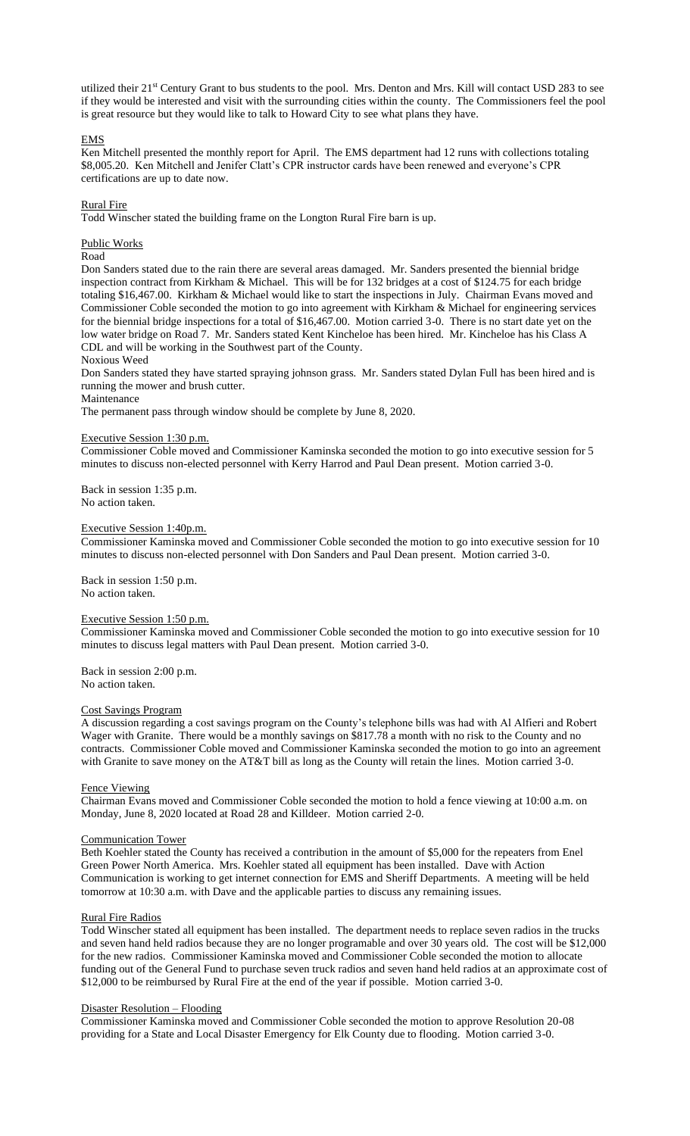utilized their 21st Century Grant to bus students to the pool. Mrs. Denton and Mrs. Kill will contact USD 283 to see if they would be interested and visit with the surrounding cities within the county. The Commissioners feel the pool is great resource but they would like to talk to Howard City to see what plans they have.

# EMS

Ken Mitchell presented the monthly report for April. The EMS department had 12 runs with collections totaling \$8,005.20. Ken Mitchell and Jenifer Clatt's CPR instructor cards have been renewed and everyone's CPR certifications are up to date now.

## Rural Fire

Todd Winscher stated the building frame on the Longton Rural Fire barn is up.

# Public Works

#### Road

Don Sanders stated due to the rain there are several areas damaged. Mr. Sanders presented the biennial bridge inspection contract from Kirkham & Michael. This will be for 132 bridges at a cost of \$124.75 for each bridge totaling \$16,467.00. Kirkham & Michael would like to start the inspections in July. Chairman Evans moved and Commissioner Coble seconded the motion to go into agreement with Kirkham & Michael for engineering services for the biennial bridge inspections for a total of \$16,467.00. Motion carried 3-0. There is no start date yet on the low water bridge on Road 7. Mr. Sanders stated Kent Kincheloe has been hired. Mr. Kincheloe has his Class A CDL and will be working in the Southwest part of the County.

# Noxious Weed

Don Sanders stated they have started spraying johnson grass. Mr. Sanders stated Dylan Full has been hired and is running the mower and brush cutter.

## Maintenance

The permanent pass through window should be complete by June 8, 2020.

### Executive Session 1:30 p.m.

Commissioner Coble moved and Commissioner Kaminska seconded the motion to go into executive session for 5 minutes to discuss non-elected personnel with Kerry Harrod and Paul Dean present. Motion carried 3-0.

Back in session 1:35 p.m. No action taken.

#### Executive Session 1:40p.m.

Commissioner Kaminska moved and Commissioner Coble seconded the motion to go into executive session for 10 minutes to discuss non-elected personnel with Don Sanders and Paul Dean present. Motion carried 3-0.

Back in session 1:50 p.m. No action taken.

## Executive Session 1:50 p.m.

Commissioner Kaminska moved and Commissioner Coble seconded the motion to go into executive session for 10 minutes to discuss legal matters with Paul Dean present. Motion carried 3-0.

Back in session 2:00 p.m. No action taken.

# Cost Savings Program

A discussion regarding a cost savings program on the County's telephone bills was had with Al Alfieri and Robert Wager with Granite. There would be a monthly savings on \$817.78 a month with no risk to the County and no contracts. Commissioner Coble moved and Commissioner Kaminska seconded the motion to go into an agreement with Granite to save money on the AT&T bill as long as the County will retain the lines. Motion carried 3-0.

### Fence Viewing

Chairman Evans moved and Commissioner Coble seconded the motion to hold a fence viewing at 10:00 a.m. on Monday, June 8, 2020 located at Road 28 and Killdeer. Motion carried 2-0.

#### Communication Tower

Beth Koehler stated the County has received a contribution in the amount of \$5,000 for the repeaters from Enel Green Power North America. Mrs. Koehler stated all equipment has been installed. Dave with Action Communication is working to get internet connection for EMS and Sheriff Departments. A meeting will be held tomorrow at 10:30 a.m. with Dave and the applicable parties to discuss any remaining issues.

### Rural Fire Radios

Todd Winscher stated all equipment has been installed. The department needs to replace seven radios in the trucks and seven hand held radios because they are no longer programable and over 30 years old. The cost will be \$12,000 for the new radios. Commissioner Kaminska moved and Commissioner Coble seconded the motion to allocate funding out of the General Fund to purchase seven truck radios and seven hand held radios at an approximate cost of \$12,000 to be reimbursed by Rural Fire at the end of the year if possible. Motion carried 3-0.

#### Disaster Resolution – Flooding

Commissioner Kaminska moved and Commissioner Coble seconded the motion to approve Resolution 20-08 providing for a State and Local Disaster Emergency for Elk County due to flooding. Motion carried 3-0.